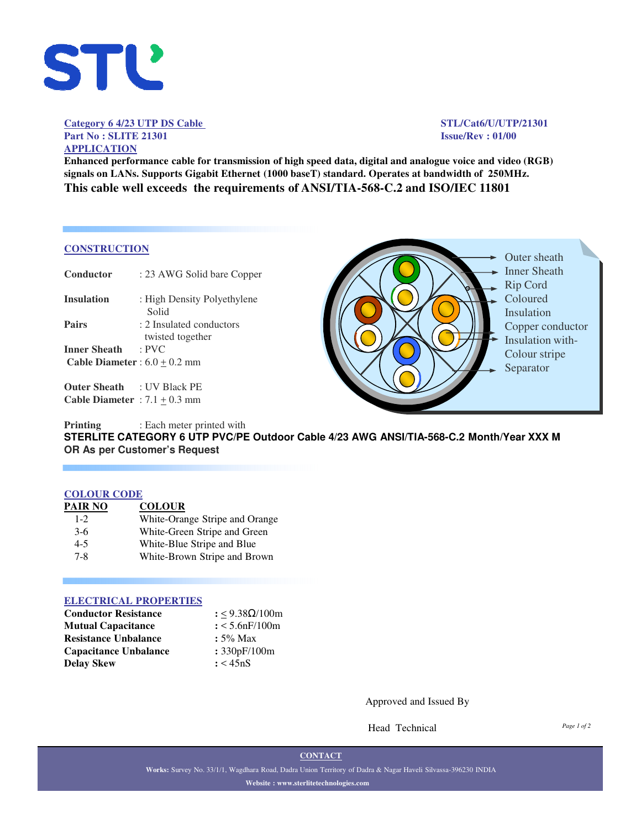

## Category 6 4/23 UTP DS Cable STL/Cat6/U/UTP/21301 **Part No : SLITE 21301 Issue/Rev : 01/00 APPLICATION**

**Enhanced performance cable for transmission of high speed data, digital and analogue voice and video (RGB) signals on LANs. Supports Gigabit Ethernet (1000 baseT) standard. Operates at bandwidth of 250MHz. This cable well exceeds the requirements of ANSI/TIA-568-C.2 and ISO/IEC 11801**

### **CONSTRUCTION**

| Conductor                              | : 23 AWG Solid bare Copper                   |
|----------------------------------------|----------------------------------------------|
| Insulation                             | : High Density Polyethylene<br>Solid         |
| Pairs                                  | : 2 Insulated conductors<br>twisted together |
| Inner Sheath                           | $:$ PVC                                      |
| <b>Cable Diameter</b> : $6.0 + 0.2$ mm |                                              |
|                                        |                                              |

**Outer Sheath** : UV Black PE **Cable Diameter** :  $7.1 \pm 0.3$  mm



**Printing** : Each meter printed with **STERLITE CATEGORY 6 UTP PVC/PE Outdoor Cable 4/23 AWG ANSI/TIA-568-C.2 Month/Year XXX M OR As per Customer's Request**

#### **COLOUR CODE**

| PAIR NO | <b>COLOUR</b>                  |
|---------|--------------------------------|
| $1 - 2$ | White-Orange Stripe and Orange |
| $3-6$   | White-Green Stripe and Green   |
| $4 - 5$ | White-Blue Stripe and Blue     |
| $7 - 8$ | White-Brown Stripe and Brown   |

## **ELECTRICAL PROPERTIES**

| <b>Conductor Resistance</b>  | : < $9.38\Omega/100m$ |
|------------------------------|-----------------------|
| <b>Mutual Capacitance</b>    | $: < 5.6$ n $F/100$ m |
| <b>Resistance Unbalance</b>  | $: 5\%$ Max           |
| <b>Capacitance Unbalance</b> | : 330pF/100m          |
| <b>Delay Skew</b>            | : < 45nS              |

Approved and Issued By

Head Technical

*Page 1 of 2*

**CONTACT**

**Works:** Survey No. 33/1/1, Wagdhara Road, Dadra Union Territory of Dadra & Nagar Haveli Silvassa-396230 INDIA **Website : www.sterlitetechnologies.com**